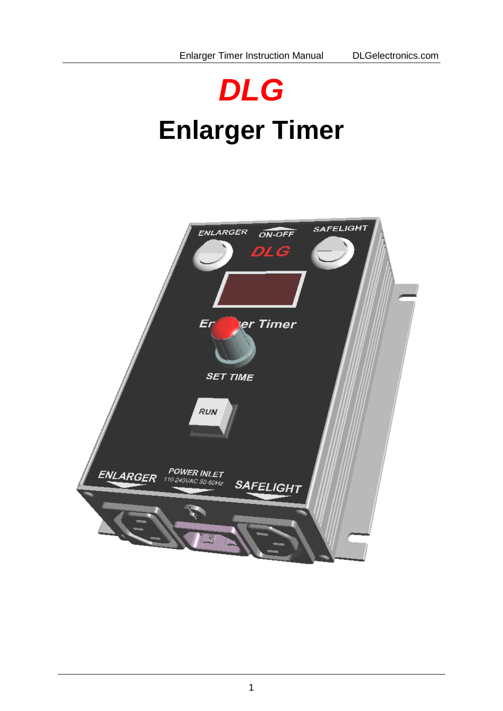# *DLG* **Enlarger Timer**

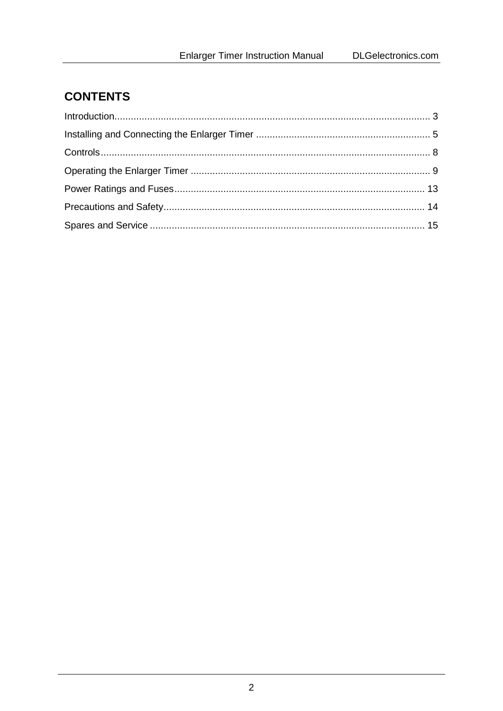# **CONTENTS**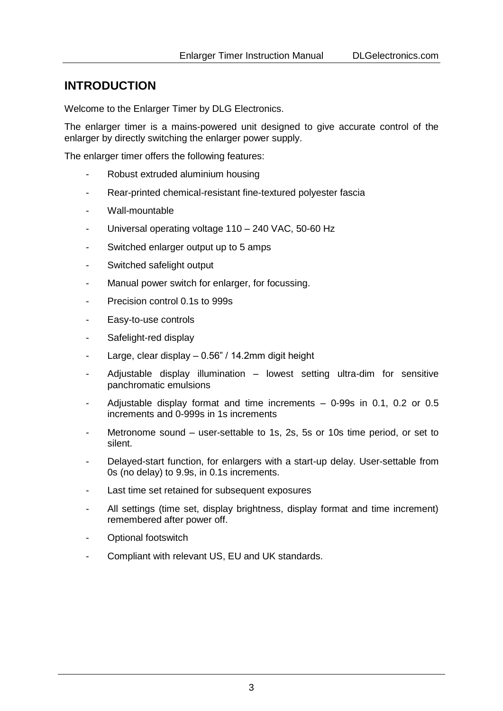#### <span id="page-2-0"></span>**INTRODUCTION**

Welcome to the Enlarger Timer by DLG Electronics.

The enlarger timer is a mains-powered unit designed to give accurate control of the enlarger by directly switching the enlarger power supply.

The enlarger timer offers the following features:

- Robust extruded aluminium housing
- Rear-printed chemical-resistant fine-textured polyester fascia
- Wall-mountable
- Universal operating voltage 110 240 VAC, 50-60 Hz
- Switched enlarger output up to 5 amps
- Switched safelight output
- Manual power switch for enlarger, for focussing.
- Precision control 0.1s to 999s
- Easy-to-use controls
- Safelight-red display
- Large, clear display  $0.56$ " / 14.2mm digit height
- Adjustable display illumination lowest setting ultra-dim for sensitive panchromatic emulsions
- Adjustable display format and time increments  $-$  0-99s in 0.1, 0.2 or 0.5 increments and 0-999s in 1s increments
- Metronome sound user-settable to 1s, 2s, 5s or 10s time period, or set to silent.
- Delayed-start function, for enlargers with a start-up delay. User-settable from 0s (no delay) to 9.9s, in 0.1s increments.
- Last time set retained for subsequent exposures
- All settings (time set, display brightness, display format and time increment) remembered after power off.
- Optional footswitch
- Compliant with relevant US, EU and UK standards.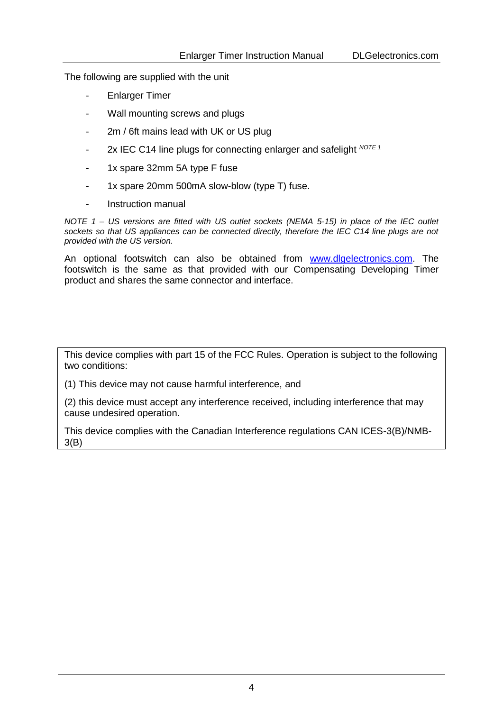The following are supplied with the unit

- **Enlarger Timer**
- Wall mounting screws and plugs
- 2m / 6ft mains lead with UK or US plug
- 2x IEC C14 line plugs for connecting enlarger and safelight *NOTE <sup>1</sup>*
- 1x spare 32mm 5A type F fuse
- 1x spare 20mm 500mA slow-blow (type T) fuse.
- Instruction manual

*NOTE 1 – US versions are fitted with US outlet sockets (NEMA 5-15) in place of the IEC outlet sockets so that US appliances can be connected directly, therefore the IEC C14 line plugs are not provided with the US version.*

An optional footswitch can also be obtained from [www.dlgelectronics.com.](http://www.dlgelectronics.com/) The footswitch is the same as that provided with our Compensating Developing Timer product and shares the same connector and interface.

This device complies with part 15 of the FCC Rules. Operation is subject to the following two conditions:

(1) This device may not cause harmful interference, and

(2) this device must accept any interference received, including interference that may cause undesired operation.

This device complies with the Canadian Interference regulations CAN ICES-3(B)/NMB-3(B)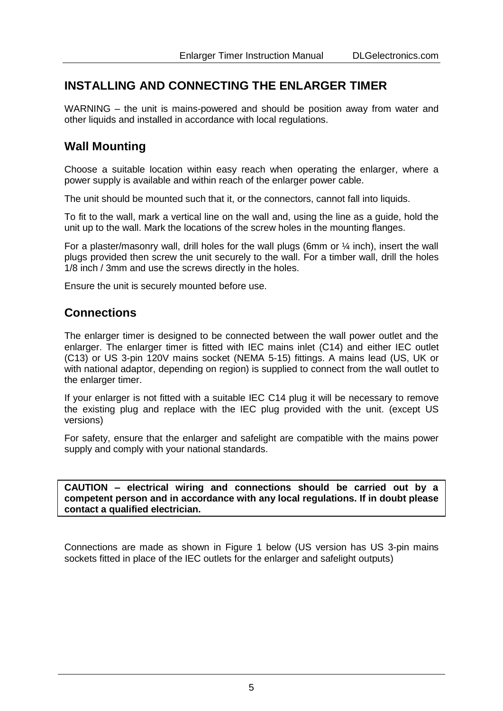#### <span id="page-4-0"></span>**INSTALLING AND CONNECTING THE ENLARGER TIMER**

WARNING – the unit is mains-powered and should be position away from water and other liquids and installed in accordance with local regulations.

#### **Wall Mounting**

Choose a suitable location within easy reach when operating the enlarger, where a power supply is available and within reach of the enlarger power cable.

The unit should be mounted such that it, or the connectors, cannot fall into liquids.

To fit to the wall, mark a vertical line on the wall and, using the line as a guide, hold the unit up to the wall. Mark the locations of the screw holes in the mounting flanges.

For a plaster/masonry wall, drill holes for the wall plugs (6mm or  $\frac{1}{4}$  inch), insert the wall plugs provided then screw the unit securely to the wall. For a timber wall, drill the holes 1/8 inch / 3mm and use the screws directly in the holes.

Ensure the unit is securely mounted before use.

#### **Connections**

The enlarger timer is designed to be connected between the wall power outlet and the enlarger. The enlarger timer is fitted with IEC mains inlet (C14) and either IEC outlet (C13) or US 3-pin 120V mains socket (NEMA 5-15) fittings. A mains lead (US, UK or with national adaptor, depending on region) is supplied to connect from the wall outlet to the enlarger timer.

If your enlarger is not fitted with a suitable IEC C14 plug it will be necessary to remove the existing plug and replace with the IEC plug provided with the unit. (except US versions)

For safety, ensure that the enlarger and safelight are compatible with the mains power supply and comply with your national standards.

**CAUTION – electrical wiring and connections should be carried out by a competent person and in accordance with any local regulations. If in doubt please contact a qualified electrician.**

Connections are made as shown in [Figure 1](#page-5-0) below (US version has US 3-pin mains sockets fitted in place of the IEC outlets for the enlarger and safelight outputs)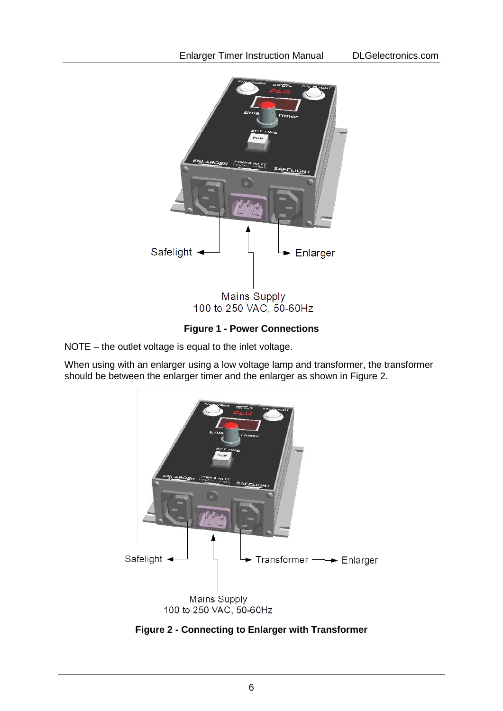

**Figure 1 - Power Connections**

<span id="page-5-0"></span>NOTE – the outlet voltage is equal to the inlet voltage.

When using with an enlarger using a low voltage lamp and transformer, the transformer should be between the enlarger timer and the enlarger as shown in [Figure 2.](#page-5-1)



<span id="page-5-1"></span>**Figure 2 - Connecting to Enlarger with Transformer**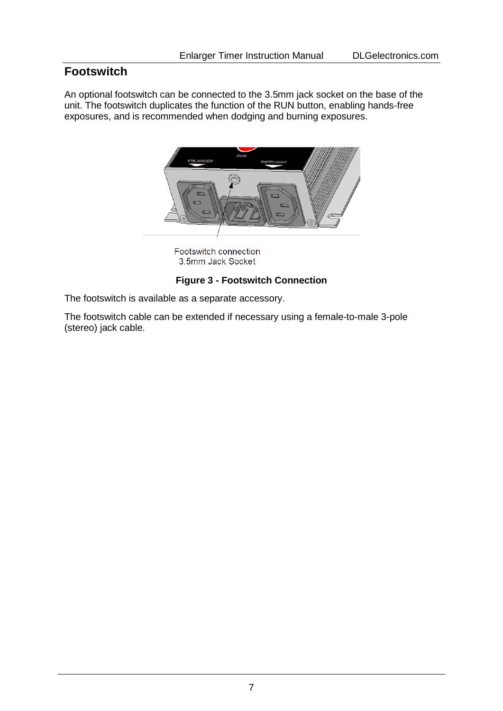# **Footswitch**

An optional footswitch can be connected to the 3.5mm jack socket on the base of the unit. The footswitch duplicates the function of the RUN button, enabling hands-free exposures, and is recommended when dodging and burning exposures.



Footswitch connection 3.5mm Jack Socket

#### **Figure 3 - Footswitch Connection**

The footswitch is available as a separate accessory.

The footswitch cable can be extended if necessary using a female-to-male 3-pole (stereo) jack cable.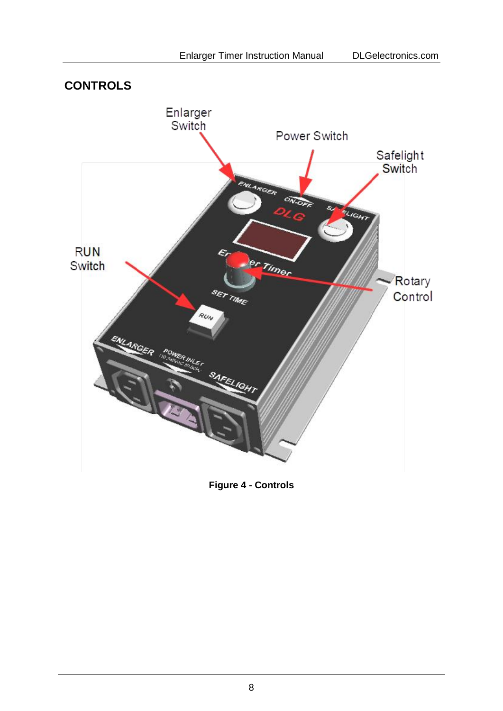<span id="page-7-0"></span>

**Figure 4 - Controls**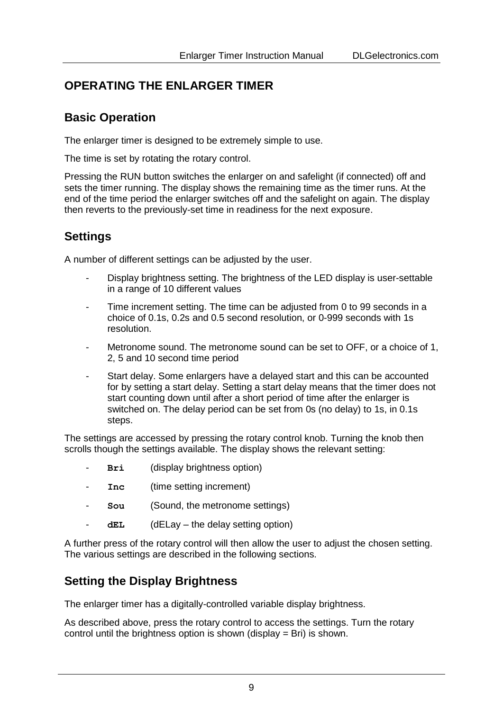# <span id="page-8-0"></span>**OPERATING THE ENLARGER TIMER**

## **Basic Operation**

The enlarger timer is designed to be extremely simple to use.

The time is set by rotating the rotary control.

Pressing the RUN button switches the enlarger on and safelight (if connected) off and sets the timer running. The display shows the remaining time as the timer runs. At the end of the time period the enlarger switches off and the safelight on again. The display then reverts to the previously-set time in readiness for the next exposure.

# **Settings**

A number of different settings can be adjusted by the user.

- Display brightness setting. The brightness of the LED display is user-settable in a range of 10 different values
- Time increment setting. The time can be adjusted from 0 to 99 seconds in a choice of 0.1s, 0.2s and 0.5 second resolution, or 0-999 seconds with 1s resolution.
- Metronome sound. The metronome sound can be set to OFF, or a choice of 1, 2, 5 and 10 second time period
- Start delay. Some enlargers have a delayed start and this can be accounted for by setting a start delay. Setting a start delay means that the timer does not start counting down until after a short period of time after the enlarger is switched on. The delay period can be set from 0s (no delay) to 1s, in 0.1s steps.

The settings are accessed by pressing the rotary control knob. Turning the knob then scrolls though the settings available. The display shows the relevant setting:

- Bri (display brightness option)
- **Inc** (time setting increment)
- **Sou** (Sound, the metronome settings)
- dEL (dELay the delay setting option)

A further press of the rotary control will then allow the user to adjust the chosen setting. The various settings are described in the following sections.

## **Setting the Display Brightness**

The enlarger timer has a digitally-controlled variable display brightness.

As described above, press the rotary control to access the settings. Turn the rotary control until the brightness option is shown (display  $=$  Bri) is shown.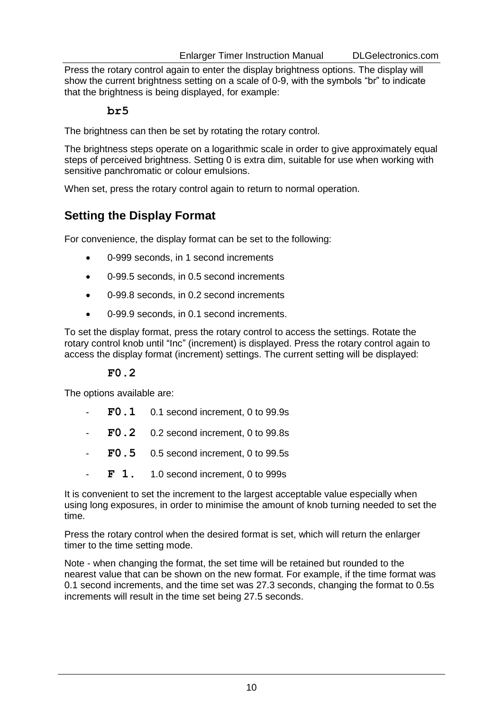Press the rotary control again to enter the display brightness options. The display will show the current brightness setting on a scale of 0-9, with the symbols "br" to indicate that the brightness is being displayed, for example:

#### **br5**

The brightness can then be set by rotating the rotary control.

The brightness steps operate on a logarithmic scale in order to give approximately equal steps of perceived brightness. Setting 0 is extra dim, suitable for use when working with sensitive panchromatic or colour emulsions.

When set, press the rotary control again to return to normal operation.

### **Setting the Display Format**

For convenience, the display format can be set to the following:

- 0-999 seconds, in 1 second increments
- 0-99.5 seconds, in 0.5 second increments
- 0-99.8 seconds, in 0.2 second increments
- 0-99.9 seconds, in 0.1 second increments.

To set the display format, press the rotary control to access the settings. Rotate the rotary control knob until "Inc" (increment) is displayed. Press the rotary control again to access the display format (increment) settings. The current setting will be displayed:

#### **F0.2**

The options available are:

- **F0.1** 0.1 second increment, 0 to 99.9s
- **F0.2** 0.2 second increment, 0 to 99.8s
- **F0.5** 0.5 second increment, 0 to 99.5s
- $\mathbf{F}$  1. 1.0 second increment, 0 to 999s

It is convenient to set the increment to the largest acceptable value especially when using long exposures, in order to minimise the amount of knob turning needed to set the time.

Press the rotary control when the desired format is set, which will return the enlarger timer to the time setting mode.

Note - when changing the format, the set time will be retained but rounded to the nearest value that can be shown on the new format. For example, if the time format was 0.1 second increments, and the time set was 27.3 seconds, changing the format to 0.5s increments will result in the time set being 27.5 seconds.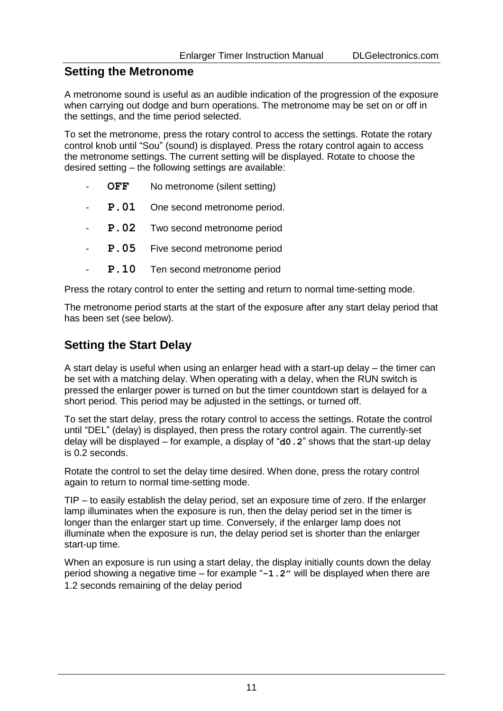#### **Setting the Metronome**

A metronome sound is useful as an audible indication of the progression of the exposure when carrying out dodge and burn operations. The metronome may be set on or off in the settings, and the time period selected.

To set the metronome, press the rotary control to access the settings. Rotate the rotary control knob until "Sou" (sound) is displayed. Press the rotary control again to access the metronome settings. The current setting will be displayed. Rotate to choose the desired setting – the following settings are available:

- **OFF** No metronome (silent setting)
- **P.01** One second metronome period.
- **P.02** Two second metronome period
- **P.05** Five second metronome period
- P.10 Ten second metronome period

Press the rotary control to enter the setting and return to normal time-setting mode.

The metronome period starts at the start of the exposure after any start delay period that has been set (see below).

### **Setting the Start Delay**

A start delay is useful when using an enlarger head with a start-up delay – the timer can be set with a matching delay. When operating with a delay, when the RUN switch is pressed the enlarger power is turned on but the timer countdown start is delayed for a short period. This period may be adjusted in the settings, or turned off.

To set the start delay, press the rotary control to access the settings. Rotate the control until "DEL" (delay) is displayed, then press the rotary control again. The currently-set delay will be displayed – for example, a display of "**d0.2**" shows that the start-up delay is 0.2 seconds.

Rotate the control to set the delay time desired. When done, press the rotary control again to return to normal time-setting mode.

TIP – to easily establish the delay period, set an exposure time of zero. If the enlarger lamp illuminates when the exposure is run, then the delay period set in the timer is longer than the enlarger start up time. Conversely, if the enlarger lamp does not illuminate when the exposure is run, the delay period set is shorter than the enlarger start-up time.

When an exposure is run using a start delay, the display initially counts down the delay period showing a negative time – for example "**-1.2"** will be displayed when there are 1.2 seconds remaining of the delay period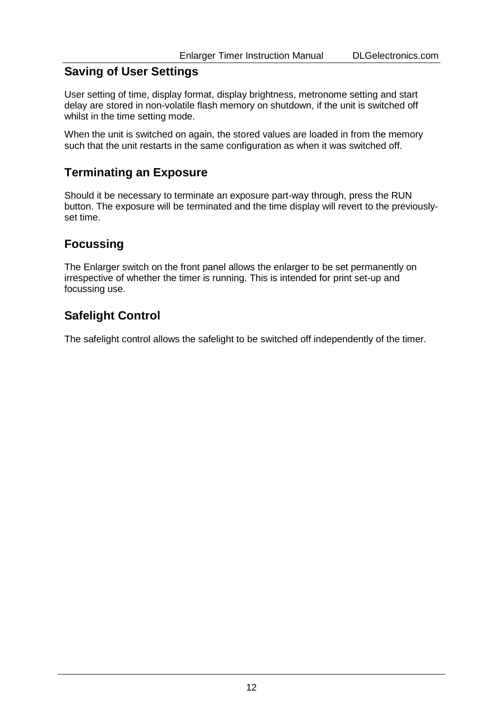# **Saving of User Settings**

User setting of time, display format, display brightness, metronome setting and start delay are stored in non-volatile flash memory on shutdown, if the unit is switched off whilst in the time setting mode.

When the unit is switched on again, the stored values are loaded in from the memory such that the unit restarts in the same configuration as when it was switched off.

# **Terminating an Exposure**

Should it be necessary to terminate an exposure part-way through, press the RUN button. The exposure will be terminated and the time display will revert to the previouslyset time.

# **Focussing**

The Enlarger switch on the front panel allows the enlarger to be set permanently on irrespective of whether the timer is running. This is intended for print set-up and focussing use.

# **Safelight Control**

The safelight control allows the safelight to be switched off independently of the timer.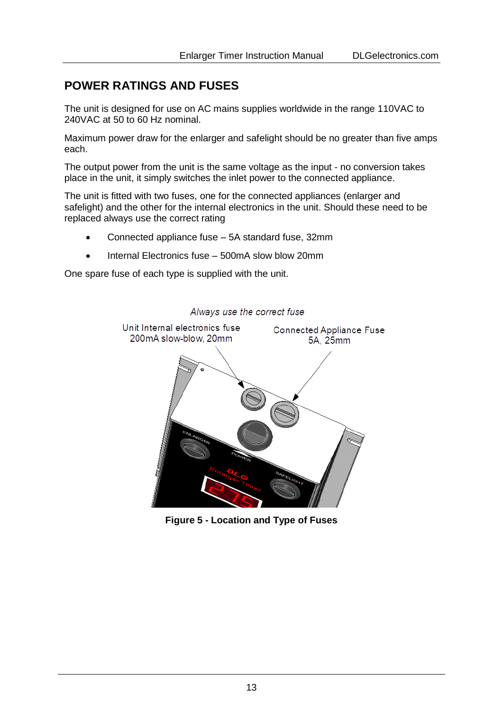# <span id="page-12-0"></span>**POWER RATINGS AND FUSES**

The unit is designed for use on AC mains supplies worldwide in the range 110VAC to 240VAC at 50 to 60 Hz nominal.

Maximum power draw for the enlarger and safelight should be no greater than five amps each.

The output power from the unit is the same voltage as the input - no conversion takes place in the unit, it simply switches the inlet power to the connected appliance.

The unit is fitted with two fuses, one for the connected appliances (enlarger and safelight) and the other for the internal electronics in the unit. Should these need to be replaced always use the correct rating

- Connected appliance fuse 5A standard fuse, 32mm
- Internal Electronics fuse 500mA slow blow 20mm

One spare fuse of each type is supplied with the unit.



**Figure 5 - Location and Type of Fuses**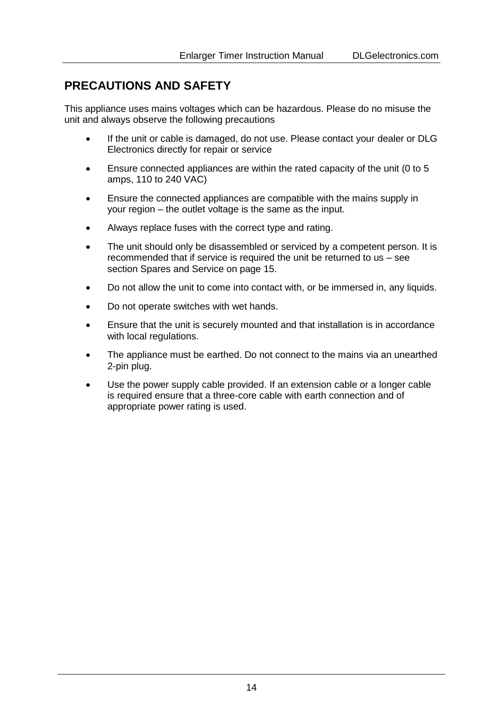## <span id="page-13-0"></span>**PRECAUTIONS AND SAFETY**

This appliance uses mains voltages which can be hazardous. Please do no misuse the unit and always observe the following precautions

- If the unit or cable is damaged, do not use. Please contact your dealer or DLG Electronics directly for repair or service
- Ensure connected appliances are within the rated capacity of the unit (0 to 5 amps, 110 to 240 VAC)
- Ensure the connected appliances are compatible with the mains supply in your region – the outlet voltage is the same as the input.
- Always replace fuses with the correct type and rating.
- The unit should only be disassembled or serviced by a competent person. It is recommended that if service is required the unit be returned to us – see sectio[n Spares and Service](#page-14-0) on pag[e 15.](#page-14-0)
- Do not allow the unit to come into contact with, or be immersed in, any liquids.
- Do not operate switches with wet hands.
- Ensure that the unit is securely mounted and that installation is in accordance with local regulations.
- The appliance must be earthed. Do not connect to the mains via an unearthed 2-pin plug.
- Use the power supply cable provided. If an extension cable or a longer cable is required ensure that a three-core cable with earth connection and of appropriate power rating is used.